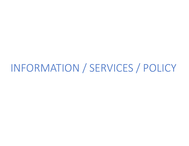# INFORMATION / SERVICES / POLICY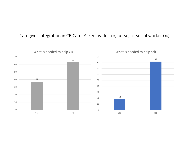#### Caregiver Integration in CR Care: Asked by doctor, nurse, or social worker (%)

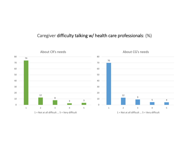### Caregiver difficulty talking w/ health care professionals: (%)

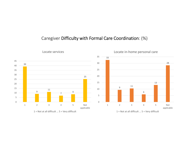#### Caregiver Difficulty with Formal Care Coordination: (%)



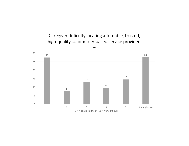## Caregiver difficulty locating affordable, trusted, high-quality community-based service providers (%)

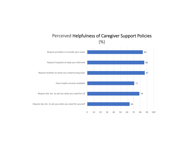

#### Perceived Helpfulness of Caregiver Support Policies